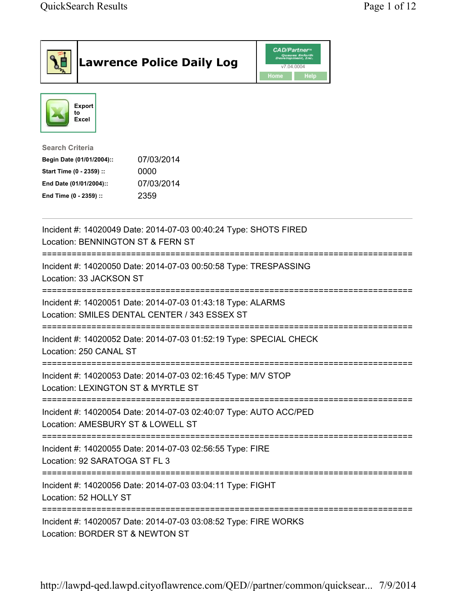| <b>Lawrence Police Daily Log</b>                                                                                                                                                 | <b>CAD/Partner</b> "<br>Queues Enforth<br>Development, Inc.<br>v7.04.0004<br>Home<br>Help |
|----------------------------------------------------------------------------------------------------------------------------------------------------------------------------------|-------------------------------------------------------------------------------------------|
| <b>Export</b><br>to<br><b>Excel</b>                                                                                                                                              |                                                                                           |
| <b>Search Criteria</b><br>07/03/2014<br>Begin Date (01/01/2004)::<br>Start Time (0 - 2359) ::<br>0000<br>07/03/2014<br>End Date (01/01/2004)::<br>End Time (0 - 2359) ::<br>2359 |                                                                                           |
| Incident #: 14020049 Date: 2014-07-03 00:40:24 Type: SHOTS FIRED<br>Location: BENNINGTON ST & FERN ST                                                                            |                                                                                           |
| Incident #: 14020050 Date: 2014-07-03 00:50:58 Type: TRESPASSING<br>Location: 33 JACKSON ST                                                                                      |                                                                                           |
| Incident #: 14020051 Date: 2014-07-03 01:43:18 Type: ALARMS<br>Location: SMILES DENTAL CENTER / 343 ESSEX ST                                                                     |                                                                                           |
| Incident #: 14020052 Date: 2014-07-03 01:52:19 Type: SPECIAL CHECK<br>Location: 250 CANAL ST                                                                                     |                                                                                           |
| Incident #: 14020053 Date: 2014-07-03 02:16:45 Type: M/V STOP<br>Location: LEXINGTON ST & MYRTLE ST                                                                              |                                                                                           |
| Incident #: 14020054 Date: 2014-07-03 02:40:07 Type: AUTO ACC/PED<br>Location: AMESBURY ST & LOWELL ST                                                                           |                                                                                           |
| Incident #: 14020055 Date: 2014-07-03 02:56:55 Type: FIRE<br>Location: 92 SARATOGA ST FL 3                                                                                       |                                                                                           |
| Incident #: 14020056 Date: 2014-07-03 03:04:11 Type: FIGHT<br>Location: 52 HOLLY ST                                                                                              |                                                                                           |
| Incident #: 14020057 Date: 2014-07-03 03:08:52 Type: FIRE WORKS<br>Location: BORDER ST & NEWTON ST                                                                               |                                                                                           |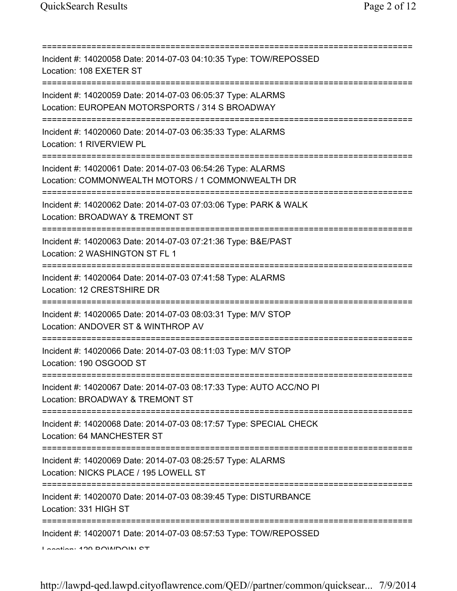=========================================================================== Incident #: 14020058 Date: 2014-07-03 04:10:35 Type: TOW/REPOSSED Location: 108 EXETER ST =========================================================================== Incident #: 14020059 Date: 2014-07-03 06:05:37 Type: ALARMS Location: EUROPEAN MOTORSPORTS / 314 S BROADWAY =========================================================================== Incident #: 14020060 Date: 2014-07-03 06:35:33 Type: ALARMS Location: 1 RIVERVIEW PL =========================================================================== Incident #: 14020061 Date: 2014-07-03 06:54:26 Type: ALARMS Location: COMMONWEALTH MOTORS / 1 COMMONWEALTH DR =========================================================================== Incident #: 14020062 Date: 2014-07-03 07:03:06 Type: PARK & WALK Location: BROADWAY & TREMONT ST =========================================================================== Incident #: 14020063 Date: 2014-07-03 07:21:36 Type: B&E/PAST Location: 2 WASHINGTON ST FL 1 =========================================================================== Incident #: 14020064 Date: 2014-07-03 07:41:58 Type: ALARMS Location: 12 CRESTSHIRE DR =========================================================================== Incident #: 14020065 Date: 2014-07-03 08:03:31 Type: M/V STOP Location: ANDOVER ST & WINTHROP AV =========================================================================== Incident #: 14020066 Date: 2014-07-03 08:11:03 Type: M/V STOP Location: 190 OSGOOD ST =========================================================================== Incident #: 14020067 Date: 2014-07-03 08:17:33 Type: AUTO ACC/NO PI Location: BROADWAY & TREMONT ST =========================================================================== Incident #: 14020068 Date: 2014-07-03 08:17:57 Type: SPECIAL CHECK Location: 64 MANCHESTER ST =========================================================================== Incident #: 14020069 Date: 2014-07-03 08:25:57 Type: ALARMS Location: NICKS PLACE / 195 LOWELL ST =========================================================================== Incident #: 14020070 Date: 2014-07-03 08:39:45 Type: DISTURBANCE Location: 331 HIGH ST =========================================================================== Incident #: 14020071 Date: 2014-07-03 08:57:53 Type: TOW/REPOSSED Location: 120 BOWDOIN ST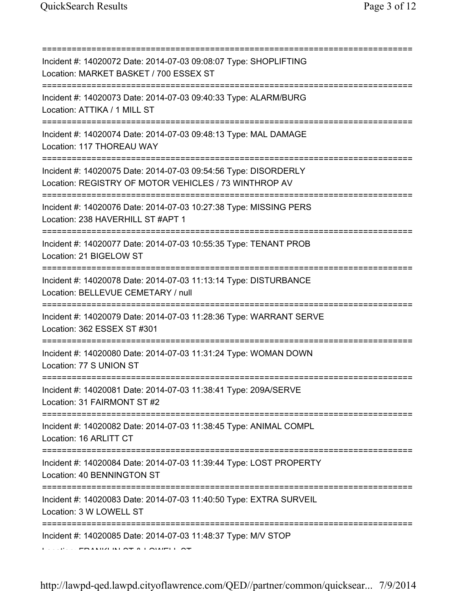=========================================================================== Incident #: 14020072 Date: 2014-07-03 09:08:07 Type: SHOPLIFTING Location: MARKET BASKET / 700 ESSEX ST =========================================================================== Incident #: 14020073 Date: 2014-07-03 09:40:33 Type: ALARM/BURG Location: ATTIKA / 1 MILL ST =========================================================================== Incident #: 14020074 Date: 2014-07-03 09:48:13 Type: MAL DAMAGE Location: 117 THOREAU WAY =========================================================================== Incident #: 14020075 Date: 2014-07-03 09:54:56 Type: DISORDERLY Location: REGISTRY OF MOTOR VEHICLES / 73 WINTHROP AV =========================================================================== Incident #: 14020076 Date: 2014-07-03 10:27:38 Type: MISSING PERS Location: 238 HAVERHILL ST #APT 1 =========================================================================== Incident #: 14020077 Date: 2014-07-03 10:55:35 Type: TENANT PROB Location: 21 BIGELOW ST =========================================================================== Incident #: 14020078 Date: 2014-07-03 11:13:14 Type: DISTURBANCE Location: BELLEVUE CEMETARY / null =========================================================================== Incident #: 14020079 Date: 2014-07-03 11:28:36 Type: WARRANT SERVE Location: 362 ESSEX ST #301 =========================================================================== Incident #: 14020080 Date: 2014-07-03 11:31:24 Type: WOMAN DOWN Location: 77 S UNION ST =========================================================================== Incident #: 14020081 Date: 2014-07-03 11:38:41 Type: 209A/SERVE Location: 31 FAIRMONT ST #2 =========================================================================== Incident #: 14020082 Date: 2014-07-03 11:38:45 Type: ANIMAL COMPL Location: 16 ARLITT CT =========================================================================== Incident #: 14020084 Date: 2014-07-03 11:39:44 Type: LOST PROPERTY Location: 40 BENNINGTON ST =========================================================================== Incident #: 14020083 Date: 2014-07-03 11:40:50 Type: EXTRA SURVEIL Location: 3 W LOWELL ST =========================================================================== Incident #: 14020085 Date: 2014-07-03 11:48:37 Type: M/V STOP Location: FRANKLIN ST & LOWELL ST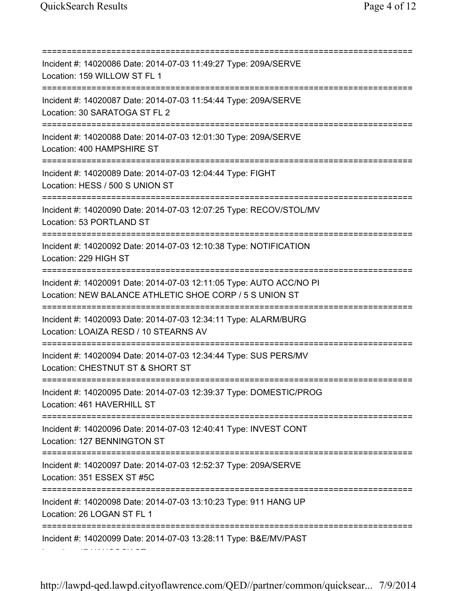=========================================================================== Incident #: 14020086 Date: 2014-07-03 11:49:27 Type: 209A/SERVE Location: 159 WILLOW ST FL 1 =========================================================================== Incident #: 14020087 Date: 2014-07-03 11:54:44 Type: 209A/SERVE Location: 30 SARATOGA ST FL 2 =========================================================================== Incident #: 14020088 Date: 2014-07-03 12:01:30 Type: 209A/SERVE Location: 400 HAMPSHIRE ST =========================================================================== Incident #: 14020089 Date: 2014-07-03 12:04:44 Type: FIGHT Location: HESS / 500 S UNION ST =========================================================================== Incident #: 14020090 Date: 2014-07-03 12:07:25 Type: RECOV/STOL/MV Location: 53 PORTLAND ST =========================================================================== Incident #: 14020092 Date: 2014-07-03 12:10:38 Type: NOTIFICATION Location: 229 HIGH ST =========================================================================== Incident #: 14020091 Date: 2014-07-03 12:11:05 Type: AUTO ACC/NO PI Location: NEW BALANCE ATHLETIC SHOE CORP / 5 S UNION ST =========================================================================== Incident #: 14020093 Date: 2014-07-03 12:34:11 Type: ALARM/BURG Location: LOAIZA RESD / 10 STEARNS AV =========================================================================== Incident #: 14020094 Date: 2014-07-03 12:34:44 Type: SUS PERS/MV Location: CHESTNUT ST & SHORT ST =========================================================================== Incident #: 14020095 Date: 2014-07-03 12:39:37 Type: DOMESTIC/PROG Location: 461 HAVERHILL ST =========================================================================== Incident #: 14020096 Date: 2014-07-03 12:40:41 Type: INVEST CONT Location: 127 BENNINGTON ST =========================================================================== Incident #: 14020097 Date: 2014-07-03 12:52:37 Type: 209A/SERVE Location: 351 ESSEX ST #5C =========================================================================== Incident #: 14020098 Date: 2014-07-03 13:10:23 Type: 911 HANG UP Location: 26 LOGAN ST FL 1 =========================================================================== Incident #: 14020099 Date: 2014-07-03 13:28:11 Type: B&E/MV/PAST Location: 47 HANCOCK ST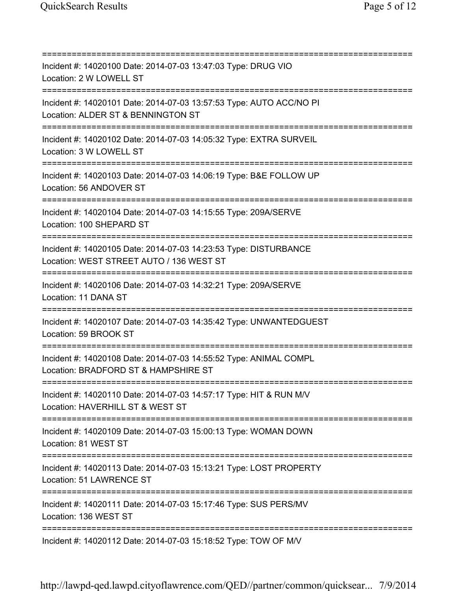=========================================================================== Incident #: 14020100 Date: 2014-07-03 13:47:03 Type: DRUG VIO Location: 2 W LOWELL ST =========================================================================== Incident #: 14020101 Date: 2014-07-03 13:57:53 Type: AUTO ACC/NO PI Location: ALDER ST & BENNINGTON ST =========================================================================== Incident #: 14020102 Date: 2014-07-03 14:05:32 Type: EXTRA SURVEIL Location: 3 W LOWELL ST =========================================================================== Incident #: 14020103 Date: 2014-07-03 14:06:19 Type: B&E FOLLOW UP Location: 56 ANDOVER ST =========================================================================== Incident #: 14020104 Date: 2014-07-03 14:15:55 Type: 209A/SERVE Location: 100 SHEPARD ST =========================================================================== Incident #: 14020105 Date: 2014-07-03 14:23:53 Type: DISTURBANCE Location: WEST STREET AUTO / 136 WEST ST =========================================================================== Incident #: 14020106 Date: 2014-07-03 14:32:21 Type: 209A/SERVE Location: 11 DANA ST =========================================================================== Incident #: 14020107 Date: 2014-07-03 14:35:42 Type: UNWANTEDGUEST Location: 59 BROOK ST =========================================================================== Incident #: 14020108 Date: 2014-07-03 14:55:52 Type: ANIMAL COMPL Location: BRADFORD ST & HAMPSHIRE ST =========================================================================== Incident #: 14020110 Date: 2014-07-03 14:57:17 Type: HIT & RUN M/V Location: HAVERHILL ST & WEST ST =========================================================================== Incident #: 14020109 Date: 2014-07-03 15:00:13 Type: WOMAN DOWN Location: 81 WEST ST =========================================================================== Incident #: 14020113 Date: 2014-07-03 15:13:21 Type: LOST PROPERTY Location: 51 LAWRENCE ST =========================================================================== Incident #: 14020111 Date: 2014-07-03 15:17:46 Type: SUS PERS/MV Location: 136 WEST ST =========================================================================== Incident #: 14020112 Date: 2014-07-03 15:18:52 Type: TOW OF M/V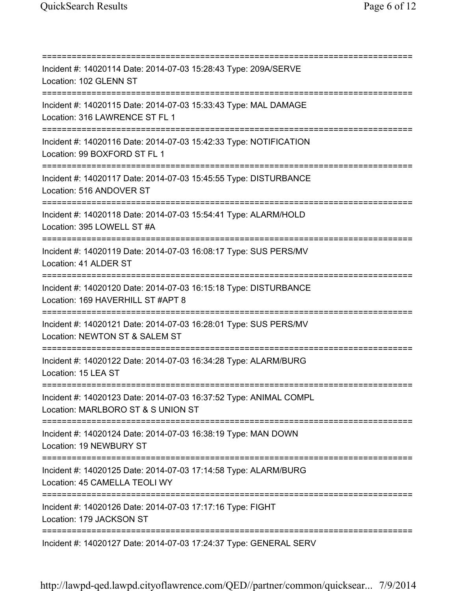=========================================================================== Incident #: 14020114 Date: 2014-07-03 15:28:43 Type: 209A/SERVE Location: 102 GLENN ST =========================================================================== Incident #: 14020115 Date: 2014-07-03 15:33:43 Type: MAL DAMAGE Location: 316 LAWRENCE ST FL 1 =========================================================================== Incident #: 14020116 Date: 2014-07-03 15:42:33 Type: NOTIFICATION Location: 99 BOXFORD ST FL 1 =========================================================================== Incident #: 14020117 Date: 2014-07-03 15:45:55 Type: DISTURBANCE Location: 516 ANDOVER ST =========================================================================== Incident #: 14020118 Date: 2014-07-03 15:54:41 Type: ALARM/HOLD Location: 395 LOWELL ST #A =========================================================================== Incident #: 14020119 Date: 2014-07-03 16:08:17 Type: SUS PERS/MV Location: 41 ALDER ST =========================================================================== Incident #: 14020120 Date: 2014-07-03 16:15:18 Type: DISTURBANCE Location: 169 HAVERHILL ST #APT 8 =========================================================================== Incident #: 14020121 Date: 2014-07-03 16:28:01 Type: SUS PERS/MV Location: NEWTON ST & SALEM ST =========================================================================== Incident #: 14020122 Date: 2014-07-03 16:34:28 Type: ALARM/BURG Location: 15 LEA ST =========================================================================== Incident #: 14020123 Date: 2014-07-03 16:37:52 Type: ANIMAL COMPL Location: MARLBORO ST & S UNION ST =========================================================================== Incident #: 14020124 Date: 2014-07-03 16:38:19 Type: MAN DOWN Location: 19 NEWBURY ST =========================================================================== Incident #: 14020125 Date: 2014-07-03 17:14:58 Type: ALARM/BURG Location: 45 CAMELLA TEOLI WY =========================================================================== Incident #: 14020126 Date: 2014-07-03 17:17:16 Type: FIGHT Location: 179 JACKSON ST =========================================================================== Incident #: 14020127 Date: 2014-07-03 17:24:37 Type: GENERAL SERV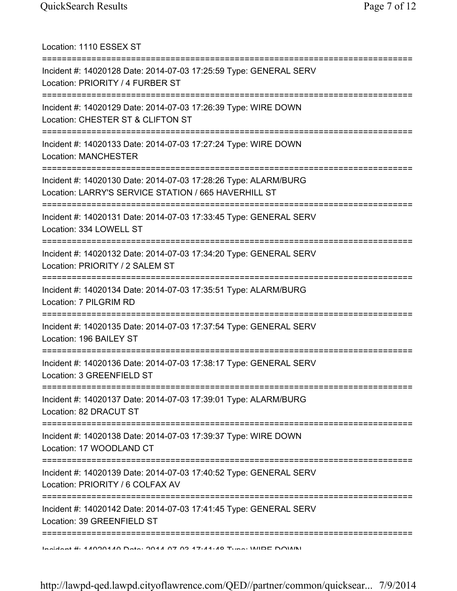Location: 1110 ESSEX ST =========================================================================== Incident #: 14020128 Date: 2014-07-03 17:25:59 Type: GENERAL SERV Location: PRIORITY / 4 FURBER ST =========================================================================== Incident #: 14020129 Date: 2014-07-03 17:26:39 Type: WIRE DOWN Location: CHESTER ST & CLIFTON ST =========================================================================== Incident #: 14020133 Date: 2014-07-03 17:27:24 Type: WIRE DOWN Location: MANCHESTER =========================================================================== Incident #: 14020130 Date: 2014-07-03 17:28:26 Type: ALARM/BURG Location: LARRY'S SERVICE STATION / 665 HAVERHILL ST =========================================================================== Incident #: 14020131 Date: 2014-07-03 17:33:45 Type: GENERAL SERV Location: 334 LOWELL ST =========================================================================== Incident #: 14020132 Date: 2014-07-03 17:34:20 Type: GENERAL SERV Location: PRIORITY / 2 SALEM ST =========================================================================== Incident #: 14020134 Date: 2014-07-03 17:35:51 Type: ALARM/BURG Location: 7 PILGRIM RD =========================================================================== Incident #: 14020135 Date: 2014-07-03 17:37:54 Type: GENERAL SERV Location: 196 BAILEY ST =========================================================================== Incident #: 14020136 Date: 2014-07-03 17:38:17 Type: GENERAL SERV Location: 3 GREENFIELD ST =========================================================================== Incident #: 14020137 Date: 2014-07-03 17:39:01 Type: ALARM/BURG Location: 82 DRACUT ST =========================================================================== Incident #: 14020138 Date: 2014-07-03 17:39:37 Type: WIRE DOWN Location: 17 WOODLAND CT =========================================================================== Incident #: 14020139 Date: 2014-07-03 17:40:52 Type: GENERAL SERV Location: PRIORITY / 6 COLFAX AV =========================================================================== Incident #: 14020142 Date: 2014-07-03 17:41:45 Type: GENERAL SERV Location: 39 GREENFIELD ST =========================================================================== Incident #: 14020140 Date: 2014 07 03 17:41:48 Type: WIRE DOWN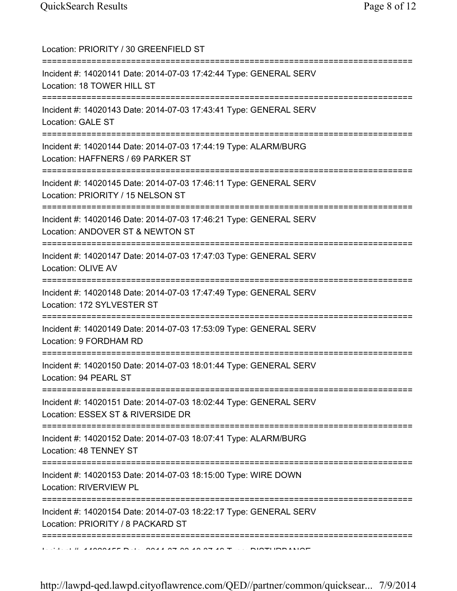| Location: PRIORITY / 30 GREENFIELD ST<br>========================                                                                     |
|---------------------------------------------------------------------------------------------------------------------------------------|
| Incident #: 14020141 Date: 2014-07-03 17:42:44 Type: GENERAL SERV<br>Location: 18 TOWER HILL ST                                       |
| Incident #: 14020143 Date: 2014-07-03 17:43:41 Type: GENERAL SERV<br>Location: GALE ST                                                |
| Incident #: 14020144 Date: 2014-07-03 17:44:19 Type: ALARM/BURG<br>Location: HAFFNERS / 69 PARKER ST                                  |
| Incident #: 14020145 Date: 2014-07-03 17:46:11 Type: GENERAL SERV<br>Location: PRIORITY / 15 NELSON ST                                |
| Incident #: 14020146 Date: 2014-07-03 17:46:21 Type: GENERAL SERV<br>Location: ANDOVER ST & NEWTON ST<br>============================ |
| Incident #: 14020147 Date: 2014-07-03 17:47:03 Type: GENERAL SERV<br><b>Location: OLIVE AV</b>                                        |
| Incident #: 14020148 Date: 2014-07-03 17:47:49 Type: GENERAL SERV<br>Location: 172 SYLVESTER ST                                       |
| Incident #: 14020149 Date: 2014-07-03 17:53:09 Type: GENERAL SERV<br>Location: 9 FORDHAM RD                                           |
| Incident #: 14020150 Date: 2014-07-03 18:01:44 Type: GENERAL SERV<br>Location: 94 PEARL ST                                            |
| Incident #: 14020151 Date: 2014-07-03 18:02:44 Type: GENERAL SERV<br>Location: ESSEX ST & RIVERSIDE DR                                |
| Incident #: 14020152 Date: 2014-07-03 18:07:41 Type: ALARM/BURG<br>Location: 48 TENNEY ST                                             |
| Incident #: 14020153 Date: 2014-07-03 18:15:00 Type: WIRE DOWN<br>Location: RIVERVIEW PL                                              |
| Incident #: 14020154 Date: 2014-07-03 18:22:17 Type: GENERAL SERV<br>Location: PRIORITY / 8 PACKARD ST                                |
|                                                                                                                                       |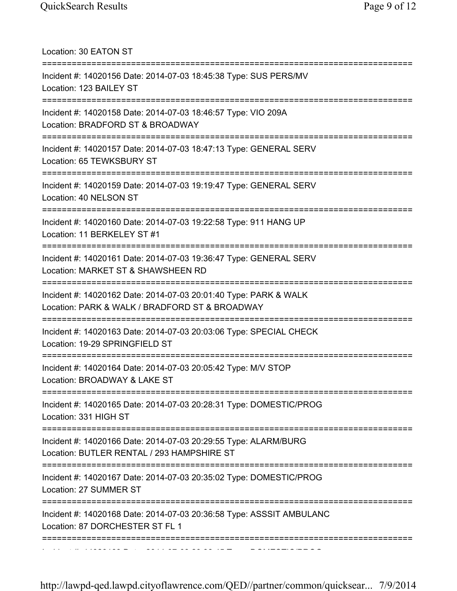| Location: 30 EATON ST                                                                                              |
|--------------------------------------------------------------------------------------------------------------------|
| Incident #: 14020156 Date: 2014-07-03 18:45:38 Type: SUS PERS/MV<br>Location: 123 BAILEY ST                        |
| Incident #: 14020158 Date: 2014-07-03 18:46:57 Type: VIO 209A<br>Location: BRADFORD ST & BROADWAY                  |
| Incident #: 14020157 Date: 2014-07-03 18:47:13 Type: GENERAL SERV<br>Location: 65 TEWKSBURY ST                     |
| Incident #: 14020159 Date: 2014-07-03 19:19:47 Type: GENERAL SERV<br>Location: 40 NELSON ST                        |
| Incident #: 14020160 Date: 2014-07-03 19:22:58 Type: 911 HANG UP<br>Location: 11 BERKELEY ST #1                    |
| Incident #: 14020161 Date: 2014-07-03 19:36:47 Type: GENERAL SERV<br>Location: MARKET ST & SHAWSHEEN RD            |
| Incident #: 14020162 Date: 2014-07-03 20:01:40 Type: PARK & WALK<br>Location: PARK & WALK / BRADFORD ST & BROADWAY |
| Incident #: 14020163 Date: 2014-07-03 20:03:06 Type: SPECIAL CHECK<br>Location: 19-29 SPRINGFIELD ST               |
| Incident #: 14020164 Date: 2014-07-03 20:05:42 Type: M/V STOP<br>Location: BROADWAY & LAKE ST                      |
| Incident #: 14020165 Date: 2014-07-03 20:28:31 Type: DOMESTIC/PROG<br>Location: 331 HIGH ST                        |
| Incident #: 14020166 Date: 2014-07-03 20:29:55 Type: ALARM/BURG<br>Location: BUTLER RENTAL / 293 HAMPSHIRE ST      |
| Incident #: 14020167 Date: 2014-07-03 20:35:02 Type: DOMESTIC/PROG<br>Location: 27 SUMMER ST                       |
| Incident #: 14020168 Date: 2014-07-03 20:36:58 Type: ASSSIT AMBULANC<br>Location: 87 DORCHESTER ST FL 1            |
|                                                                                                                    |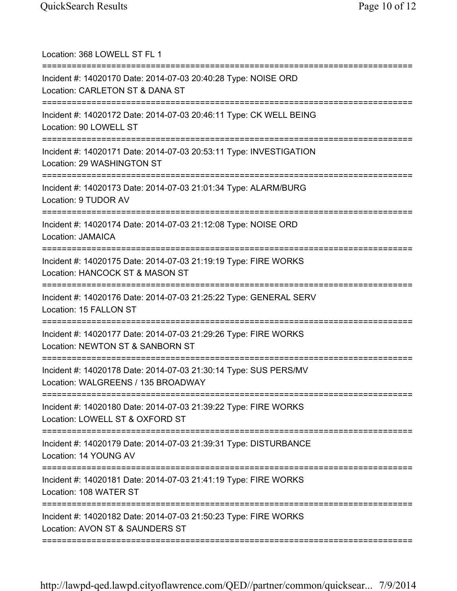| Location: 368 LOWELL ST FL 1                                                                                                     |
|----------------------------------------------------------------------------------------------------------------------------------|
| Incident #: 14020170 Date: 2014-07-03 20:40:28 Type: NOISE ORD<br>Location: CARLETON ST & DANA ST<br>=================           |
| Incident #: 14020172 Date: 2014-07-03 20:46:11 Type: CK WELL BEING<br>Location: 90 LOWELL ST                                     |
| Incident #: 14020171 Date: 2014-07-03 20:53:11 Type: INVESTIGATION<br>Location: 29 WASHINGTON ST                                 |
| Incident #: 14020173 Date: 2014-07-03 21:01:34 Type: ALARM/BURG<br>Location: 9 TUDOR AV                                          |
| Incident #: 14020174 Date: 2014-07-03 21:12:08 Type: NOISE ORD<br><b>Location: JAMAICA</b>                                       |
| Incident #: 14020175 Date: 2014-07-03 21:19:19 Type: FIRE WORKS<br>Location: HANCOCK ST & MASON ST<br>========================== |
| Incident #: 14020176 Date: 2014-07-03 21:25:22 Type: GENERAL SERV<br>Location: 15 FALLON ST                                      |
| Incident #: 14020177 Date: 2014-07-03 21:29:26 Type: FIRE WORKS<br>Location: NEWTON ST & SANBORN ST                              |
| Incident #: 14020178 Date: 2014-07-03 21:30:14 Type: SUS PERS/MV<br>Location: WALGREENS / 135 BROADWAY                           |
| Incident #: 14020180 Date: 2014-07-03 21:39:22 Type: FIRE WORKS<br>Location: LOWELL ST & OXFORD ST                               |
| Incident #: 14020179 Date: 2014-07-03 21:39:31 Type: DISTURBANCE<br>Location: 14 YOUNG AV                                        |
| Incident #: 14020181 Date: 2014-07-03 21:41:19 Type: FIRE WORKS<br>Location: 108 WATER ST                                        |
| Incident #: 14020182 Date: 2014-07-03 21:50:23 Type: FIRE WORKS<br>Location: AVON ST & SAUNDERS ST                               |
|                                                                                                                                  |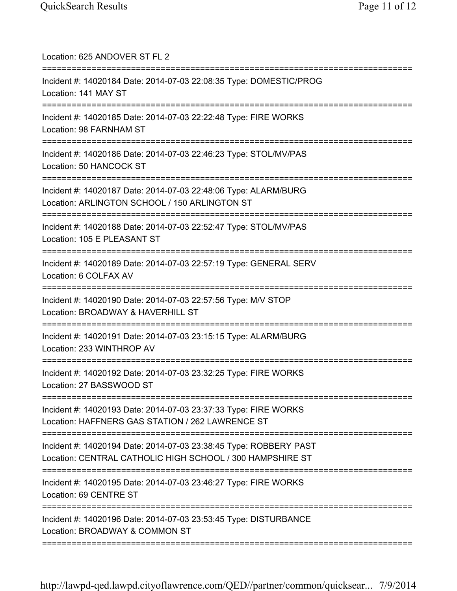| Location: 625 ANDOVER ST FL 2                                                                                                        |
|--------------------------------------------------------------------------------------------------------------------------------------|
| Incident #: 14020184 Date: 2014-07-03 22:08:35 Type: DOMESTIC/PROG<br>Location: 141 MAY ST                                           |
| Incident #: 14020185 Date: 2014-07-03 22:22:48 Type: FIRE WORKS<br>Location: 98 FARNHAM ST                                           |
| Incident #: 14020186 Date: 2014-07-03 22:46:23 Type: STOL/MV/PAS<br>Location: 50 HANCOCK ST<br>====================================  |
| Incident #: 14020187 Date: 2014-07-03 22:48:06 Type: ALARM/BURG<br>Location: ARLINGTON SCHOOL / 150 ARLINGTON ST                     |
| Incident #: 14020188 Date: 2014-07-03 22:52:47 Type: STOL/MV/PAS<br>Location: 105 E PLEASANT ST                                      |
| ==============<br>Incident #: 14020189 Date: 2014-07-03 22:57:19 Type: GENERAL SERV<br>Location: 6 COLFAX AV                         |
| Incident #: 14020190 Date: 2014-07-03 22:57:56 Type: M/V STOP<br>Location: BROADWAY & HAVERHILL ST                                   |
| Incident #: 14020191 Date: 2014-07-03 23:15:15 Type: ALARM/BURG<br>Location: 233 WINTHROP AV                                         |
| Incident #: 14020192 Date: 2014-07-03 23:32:25 Type: FIRE WORKS<br>Location: 27 BASSWOOD ST<br>===================================== |
| Incident #: 14020193 Date: 2014-07-03 23:37:33 Type: FIRE WORKS<br>Location: HAFFNERS GAS STATION / 262 LAWRENCE ST                  |
| Incident #: 14020194 Date: 2014-07-03 23:38:45 Type: ROBBERY PAST<br>Location: CENTRAL CATHOLIC HIGH SCHOOL / 300 HAMPSHIRE ST       |
| Incident #: 14020195 Date: 2014-07-03 23:46:27 Type: FIRE WORKS<br>Location: 69 CENTRE ST                                            |
| Incident #: 14020196 Date: 2014-07-03 23:53:45 Type: DISTURBANCE<br>Location: BROADWAY & COMMON ST                                   |
|                                                                                                                                      |